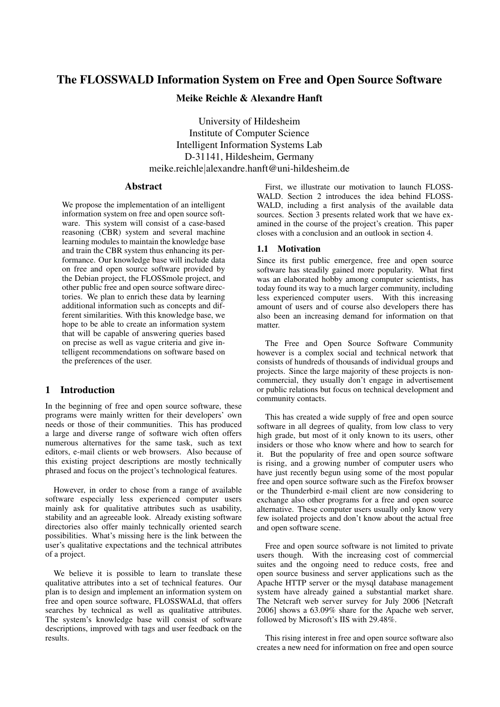# The FLOSSWALD Information System on Free and Open Source Software

# Meike Reichle & Alexandre Hanft

University of Hildesheim Institute of Computer Science Intelligent Information Systems Lab D-31141, Hildesheim, Germany meike.reichle|alexandre.hanft@uni-hildesheim.de

### Abstract

We propose the implementation of an intelligent information system on free and open source software. This system will consist of a case-based reasoning (CBR) system and several machine learning modules to maintain the knowledge base and train the CBR system thus enhancing its performance. Our knowledge base will include data on free and open source software provided by the Debian project, the FLOSSmole project, and other public free and open source software directories. We plan to enrich these data by learning additional information such as concepts and different similarities. With this knowledge base, we hope to be able to create an information system that will be capable of answering queries based on precise as well as vague criteria and give intelligent recommendations on software based on the preferences of the user.

# 1 Introduction

In the beginning of free and open source software, these programs were mainly written for their developers' own needs or those of their communities. This has produced a large and diverse range of software wich often offers numerous alternatives for the same task, such as text editors, e-mail clients or web browsers. Also because of this existing project descriptions are mostly technically phrased and focus on the project's technological features.

However, in order to chose from a range of available software especially less experienced computer users mainly ask for qualitative attributes such as usability, stability and an agreeable look. Already existing software directories also offer mainly technically oriented search possibilities. What's missing here is the link between the user's qualitative expectations and the technical attributes of a project.

We believe it is possible to learn to translate these qualitative attributes into a set of technical features. Our plan is to design and implement an information system on free and open source software, FLOSSWALd, that offers searches by technical as well as qualitative attributes. The system's knowledge base will consist of software descriptions, improved with tags and user feedback on the results.

First, we illustrate our motivation to launch FLOSS-WALD. Section 2 introduces the idea behind FLOSS-WALD, including a first analysis of the available data sources. Section 3 presents related work that we have examined in the course of the project's creation. This paper closes with a conclusion and an outlook in section 4.

# 1.1 Motivation

Since its first public emergence, free and open source software has steadily gained more popularity. What first was an elaborated hobby among computer scientists, has today found its way to a much larger community, including less experienced computer users. With this increasing amount of users and of course also developers there has also been an increasing demand for information on that matter.

The Free and Open Source Software Community however is a complex social and technical network that consists of hundreds of thousands of individual groups and projects. Since the large majority of these projects is noncommercial, they usually don't engage in advertisement or public relations but focus on technical development and community contacts.

This has created a wide supply of free and open source software in all degrees of quality, from low class to very high grade, but most of it only known to its users, other insiders or those who know where and how to search for it. But the popularity of free and open source software is rising, and a growing number of computer users who have just recently begun using some of the most popular free and open source software such as the Firefox browser or the Thunderbird e-mail client are now considering to exchange also other programs for a free and open source alternative. These computer users usually only know very few isolated projects and don't know about the actual free and open software scene.

Free and open source software is not limited to private users though. With the increasing cost of commercial suites and the ongoing need to reduce costs, free and open source business and server applications such as the Apache HTTP server or the mysql database management system have already gained a substantial market share. The Netcraft web server survey for July 2006 [Netcraft 2006] shows a 63.09% share for the Apache web server, followed by Microsoft's IIS with 29.48%.

This rising interest in free and open source software also creates a new need for information on free and open source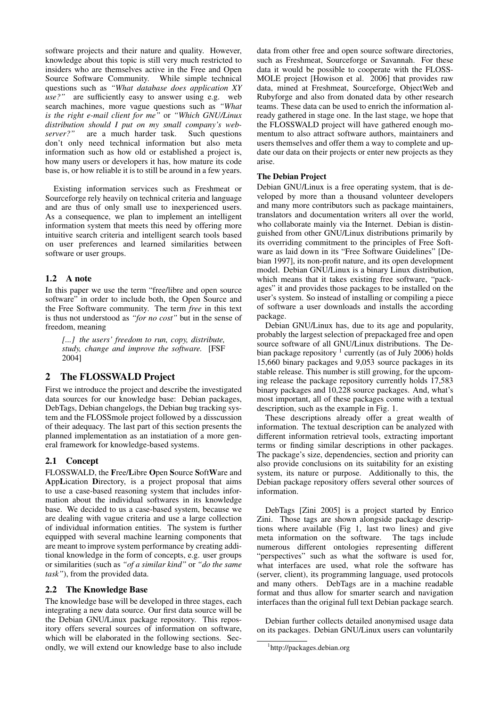software projects and their nature and quality. However, knowledge about this topic is still very much restricted to insiders who are themselves active in the Free and Open Source Software Community. While simple technical questions such as *"What database does application XY use?"* are sufficiently easy to answer using e.g. web search machines, more vague questions such as *"What is the right e-mail client for me"* or *"Which GNU/Linux distribution should I put on my small company's webserver?"* are a much harder task. Such questions don't only need technical information but also meta information such as how old or established a project is, how many users or developers it has, how mature its code base is, or how reliable it is to still be around in a few years.

Existing information services such as Freshmeat or Sourceforge rely heavily on technical criteria and language and are thus of only small use to inexperienced users. As a consequence, we plan to implement an intelligent information system that meets this need by offering more intuitive search criteria and intelligent search tools based on user preferences and learned similarities between software or user groups.

# 1.2 A note

In this paper we use the term "free/libre and open source software" in order to include both, the Open Source and the Free Software community. The term *free* in this text is thus not understood as *"for no cost"* but in the sense of freedom, meaning

*[...] the users' freedom to run, copy, distribute, study, change and improve the software.* [FSF 2004]

### 2 The FLOSSWALD Project

First we introduce the project and describe the investigated data sources for our knowledge base: Debian packages, DebTags, Debian changelogs, the Debian bug tracking system and the FLOSSmole project followed by a disscussion of their adequacy. The last part of this section presents the planned implementation as an instatiation of a more general framework for knowledge-based systems.

### 2.1 Concept

FLOSSWALD, the Free/Libre Open Source SoftWare and AppLication Directory, is a project proposal that aims to use a case-based reasoning system that includes information about the individual softwares in its knowledge base. We decided to us a case-based system, because we are dealing with vague criteria and use a large collection of individual information entities. The system is further equipped with several machine learning components that are meant to improve system performance by creating additional knowledge in the form of concepts, e.g. user groups or similarities (such as *"of a similar kind"* or *"do the same task"*), from the provided data.

### 2.2 The Knowledge Base

The knowledge base will be developed in three stages, each integrating a new data source. Our first data source will be the Debian GNU/Linux package repository. This repository offers several sources of information on software, which will be elaborated in the following sections. Secondly, we will extend our knowledge base to also include data from other free and open source software directories, such as Freshmeat, Sourceforge or Savannah. For these data it would be possible to cooperate with the FLOSS-MOLE project [Howison et al. 2006] that provides raw data, mined at Freshmeat, Sourceforge, ObjectWeb and Rubyforge and also from donated data by other research teams. These data can be used to enrich the information already gathered in stage one. In the last stage, we hope that the FLOSSWALD project will have gathered enough momentum to also attract software authors, maintainers and users themselves and offer them a way to complete and update our data on their projects or enter new projects as they arise.

#### The Debian Project

Debian GNU/Linux is a free operating system, that is developed by more than a thousand volunteer developers and many more contributors such as package maintainers, translators and documentation writers all over the world, who collaborate mainly via the Internet. Debian is distinguished from other GNU/Linux distributions primarily by its overriding commitment to the principles of Free Software as laid down in its "Free Software Guidelines" [Debian 1997], its non-profit nature, and its open development model. Debian GNU/Linux is a binary Linux distribution, which means that it takes existing free software, "packages" it and provides those packages to be installed on the user's system. So instead of installing or compiling a piece of software a user downloads and installs the according package.

Debian GNU/Linux has, due to its age and popularity, probably the largest selection of prepackaged free and open source software of all GNU/Linux distributions. The Debian package repository  $1$  currently (as of July 2006) holds 15,660 binary packages and 9,053 source packages in its stable release. This number is still growing, for the upcoming release the package repository currently holds 17,583 binary packages and 10,228 source packages. And, what's most important, all of these packages come with a textual description, such as the example in Fig. 1.

These descriptions already offer a great wealth of information. The textual description can be analyzed with different information retrieval tools, extracting important terms or finding similar descriptions in other packages. The package's size, dependencies, section and priority can also provide conclusions on its suitability for an existing system, its nature or purpose. Additionally to this, the Debian package repository offers several other sources of information.

DebTags [Zini 2005] is a project started by Enrico Zini. Those tags are shown alongside package descriptions where available (Fig 1, last two lines) and give meta information on the software. The tags include numerous different ontologies representing different "perspectives" such as what the software is used for, what interfaces are used, what role the software has (server, client), its programming language, used protocols and many others. DebTags are in a machine readable format and thus allow for smarter search and navigation interfaces than the original full text Debian package search.

Debian further collects detailed anonymised usage data on its packages. Debian GNU/Linux users can voluntarily

<sup>1</sup> http://packages.debian.org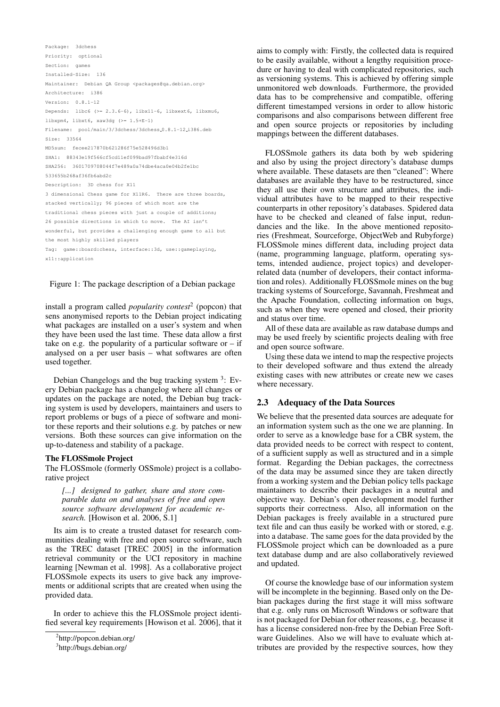```
Package: 3dchess
Priority: optional
Section: games
Installed-Size: 136
Maintainer: Debian QA Group <packages@qa.debian.org>
Architecture: i386
Version: 0.8.1-12
Depends: libc6 (>= 2.3.6-6), libx11-6, libxext6, libxmu6,
libxpm4, libxt6, xaw3dg (>= 1.5+E-1)
Filename: pool/main/3/3dchess/3dchess_0.8.1-12_i386.deb
Size: 33564
MD5sum: fecee217870b621286f75e528496d3b1
SHA1: 88343e19f566cf5cd11ef099bad97fbabf4e316d
SHA256: 3601709708044f7e489a0a74dbe4aca0e04b2fe1bc
533655b268af36fb6abd2c
Description: 3D chess for X11
3 dimensional Chess game for X11R6. There are three boards,
stacked vertically; 96 pieces of which most are the
traditional chess pieces with just a couple of additions;
26 possible directions in which to move. The AI isn't
wonderful, but provides a challenging enough game to all but
the most highly skilled players
Tag: game::board:chess, interface::3d, use::gameplaying,
x11::application
```
#### Figure 1: The package description of a Debian package

install a program called *popularity contest*<sup>2</sup> (popcon) that sens anonymised reports to the Debian project indicating what packages are installed on a user's system and when they have been used the last time. These data allow a first take on e.g. the popularity of a particular software or  $-$  if analysed on a per user basis – what softwares are often used together.

Debian Changelogs and the bug tracking system  $3$ : Every Debian package has a changelog where all changes or updates on the package are noted, the Debian bug tracking system is used by developers, maintainers and users to report problems or bugs of a piece of software and monitor these reports and their solutions e.g. by patches or new versions. Both these sources can give information on the up-to-dateness and stability of a package.

#### The FLOSSmole Project

The FLOSSmole (formerly OSSmole) project is a collaborative project

*[...] designed to gather, share and store comparable data on and analyses of free and open source software development for academic research.* [Howison et al. 2006, S.1]

Its aim is to create a trusted dataset for research communities dealing with free and open source software, such as the TREC dataset [TREC 2005] in the information retrieval community or the UCI repository in machine learning [Newman et al. 1998]. As a collaborative project FLOSSmole expects its users to give back any improvements or additional scripts that are created when using the provided data.

In order to achieve this the FLOSSmole project identified several key requirements [Howison et al. 2006], that it aims to comply with: Firstly, the collected data is required to be easily available, without a lengthy requisition procedure or having to deal with complicated repositories, such as versioning systems. This is achieved by offering simple unmonitored web downloads. Furthermore, the provided data has to be comprehensive and compatible, offering different timestamped versions in order to allow historic comparisons and also comparisons between different free and open source projects or repositories by including mappings between the different databases.

FLOSSmole gathers its data both by web spidering and also by using the project directory's database dumps where available. These datasets are then "cleaned": Where databases are available they have to be restructured, since they all use their own structure and attributes, the individual attributes have to be mapped to their respective counterparts in other repository's databases. Spidered data have to be checked and cleaned of false input, redundancies and the like. In the above mentioned repositories (Freshmeat, Sourceforge, ObjectWeb and Rubyforge) FLOSSmole mines different data, including project data (name, programming language, platform, operating systems, intended audience, project topics) and developerrelated data (number of developers, their contact information and roles). Additionally FLOSSmole mines on the bug tracking systems of Sourceforge, Savannah, Freshmeat and the Apache Foundation, collecting information on bugs, such as when they were opened and closed, their priority and status over time.

All of these data are available as raw database dumps and may be used freely by scientific projects dealing with free and open source software.

Using these data we intend to map the respective projects to their developed software and thus extend the already existing cases with new attributes or create new we cases where necessary.

### 2.3 Adequacy of the Data Sources

We believe that the presented data sources are adequate for an information system such as the one we are planning. In order to serve as a knowledge base for a CBR system, the data provided needs to be correct with respect to content, of a sufficient supply as well as structured and in a simple format. Regarding the Debian packages, the correctness of the data may be assumed since they are taken directly from a working system and the Debian policy tells package maintainers to describe their packages in a neutral and objective way. Debian's open development model further supports their correctness. Also, all information on the Debian packages is freely available in a structured pure text file and can thus easily be worked with or stored, e.g. into a database. The same goes for the data provided by the FLOSSmole project which can be downloaded as a pure text database dump and are also collaboratively reviewed and updated.

Of course the knowledge base of our information system will be incomplete in the beginning. Based only on the Debian packages during the first stage it will miss software that e.g. only runs on Microsoft Windows or software that is not packaged for Debian for other reasons, e.g. because it has a license considered non-free by the Debian Free Software Guidelines. Also we will have to evaluate which attributes are provided by the respective sources, how they

<sup>&</sup>lt;sup>2</sup>http://popcon.debian.org/

<sup>&</sup>lt;sup>3</sup>http://bugs.debian.org/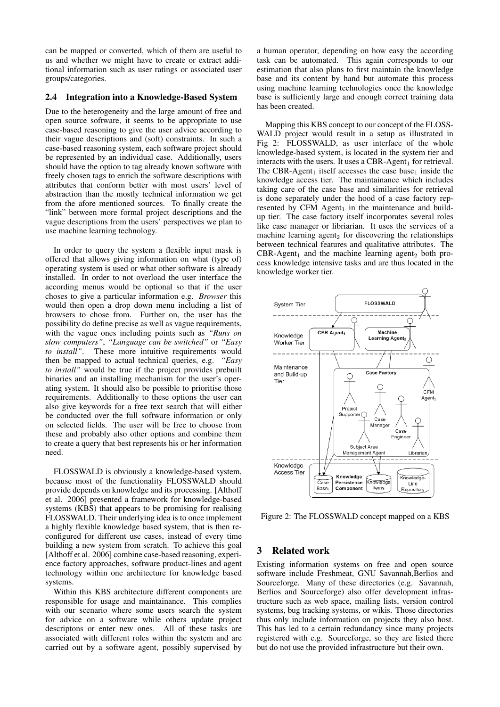can be mapped or converted, which of them are useful to us and whether we might have to create or extract additional information such as user ratings or associated user groups/categories.

### 2.4 Integration into a Knowledge-Based System

Due to the heterogeneity and the large amount of free and open source software, it seems to be appropriate to use case-based reasoning to give the user advice according to their vague descriptions and (soft) constraints. In such a case-based reasoning system, each software project should be represented by an individual case. Additionally, users should have the option to tag already known software with freely chosen tags to enrich the software descriptions with attributes that conform better with most users' level of abstraction than the mostly technical information we get from the afore mentioned sources. To finally create the "link" between more formal project descriptions and the vague descriptions from the users' perspectives we plan to use machine learning technology.

In order to query the system a flexible input mask is offered that allows giving information on what (type of) operating system is used or what other software is already installed. In order to not overload the user interface the according menus would be optional so that if the user choses to give a particular information e.g. *Browser* this would then open a drop down menu including a list of browsers to chose from. Further on, the user has the possibility do define precise as well as vague requirements, with the vague ones including points such as *"Runs on slow computers"*, *"Language can be switched"* or *"Easy to install"*. These more intuitive requirements would then be mapped to actual technical queries, e.g. *"Easy to install"* would be true if the project provides prebuilt binaries and an installing mechanism for the user's operating system. It should also be possible to prioritise those requirements. Additionally to these options the user can also give keywords for a free text search that will either be conducted over the full software information or only on selected fields. The user will be free to choose from these and probably also other options and combine them to create a query that best represents his or her information need.

FLOSSWALD is obviously a knowledge-based system, because most of the functionality FLOSSWALD should provide depends on knowledge and its processing. [Althoff et al. 2006] presented a framework for knowledge-based systems (KBS) that appears to be promising for realising FLOSSWALD. Their underlying idea is to once implement a highly flexible knowledge based system, that is then reconfigured for different use cases, instead of every time building a new system from scratch. To achieve this goal [Althoff et al. 2006] combine case-based reasoning, experience factory approaches, software product-lines and agent technology within one architecture for knowledge based systems.

Within this KBS architecture different components are responsible for usage and maintainance. This complies with our scenario where some users search the system for advice on a software while others update project descriptons or enter new ones. All of these tasks are associated with different roles within the system and are carried out by a software agent, possibly supervised by

a human operator, depending on how easy the according task can be automated. This again corresponds to our estimation that also plans to first maintain the knowledge base and its content by hand but automate this process using machine learning technologies once the knowledge base is sufficiently large and enough correct training data has been created.

Mapping this KBS concept to our concept of the FLOSS-WALD project would result in a setup as illustrated in Fig 2: FLOSSWALD, as user interface of the whole knowledge-based system, is located in the system tier and interacts with the users. It uses a CBR-Agent<sub>1</sub> for retrieval. The CBR-Agent<sub>1</sub> itself accesses the case base<sub>1</sub> inside the knowledge access tier. The maintainance which includes taking care of the case base and similarities for retrieval is done separately under the hood of a case factory represented by CFM  $A$ gent<sub>1</sub> in the maintenance and buildup tier. The case factory itself incorporates several roles like case manager or libriarian. It uses the services of a machine learning agent<sub>2</sub> for discovering the relationships between technical features and qualitative attributes. The  $CBR-Agent<sub>1</sub>$  and the machine learning agent<sub>2</sub> both process knowledge intensive tasks and are thus located in the knowledge worker tier.



Figure 2: The FLOSSWALD concept mapped on a KBS

# 3 Related work

Existing information systems on free and open source software include Freshmeat, GNU Savannah, Berlios and Sourceforge. Many of these directories (e.g. Savannah, Berlios and Sourceforge) also offer development infrastructure such as web space, mailing lists, version control systems, bug tracking systems, or wikis. Those directories thus only include information on projects they also host. This has led to a certain redundancy since many projects registered with e.g. Sourceforge, so they are listed there but do not use the provided infrastructure but their own.